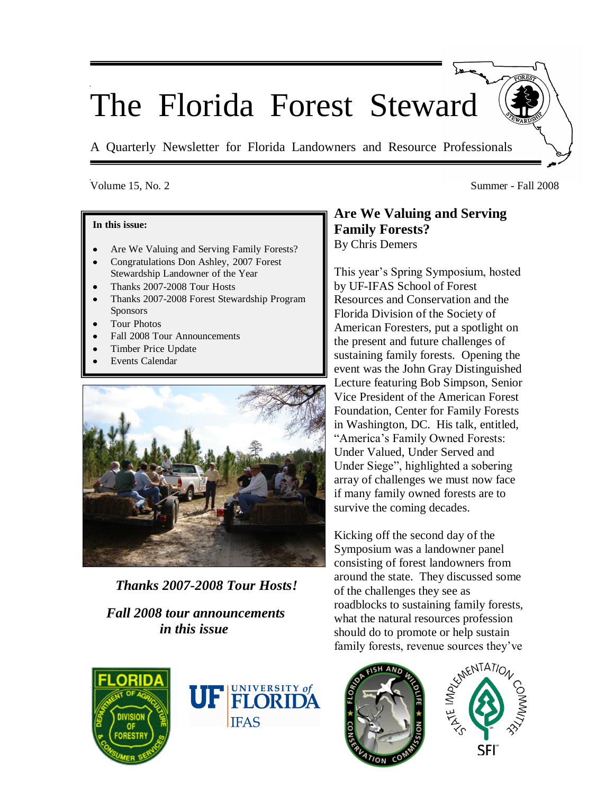# The Florida Forest Steward

A Quarterly Newsletter for Florida Landowners and Resource Professionals

### Volume 15, No. 2 Summer - Fall 2008

#### **In this issue:**

- Are We Valuing and Serving Family Forests?
- Congratulations Don Ashley, 2007 Forest Stewardship Landowner of the Year
- Thanks 2007-2008 Tour Hosts
- Thanks 2007-2008 Forest Stewardship Program **Sponsors**
- Tour Photos
- Fall 2008 Tour Announcements
- Timber Price Update
- Events Calendar



 *Thanks 2007-2008 Tour Hosts!*

# *Fall 2008 tour announcements in this issue*

# **Are We Valuing and Serving Family Forests?** By Chris Demers

This year's Spring Symposium, hosted by UF-IFAS School of Forest Resources and Conservation and the Florida Division of the Society of American Foresters, put a spotlight on the present and future challenges of sustaining family forests. Opening the event was the John Gray Distinguished Lecture featuring Bob Simpson, Senior Vice President of the American Forest Foundation, Center for Family Forests in Washington, DC. His talk, entitled, "America's Family Owned Forests: Under Valued, Under Served and Under Siege", highlighted a sobering array of challenges we must now face if many family owned forests are to survive the coming decades.

Kicking off the second day of the Symposium was a landowner panel consisting of forest landowners from around the state. They discussed some of the challenges they see as roadblocks to sustaining family forests, what the natural resources profession should do to promote or help sustain family forests, revenue sources they've





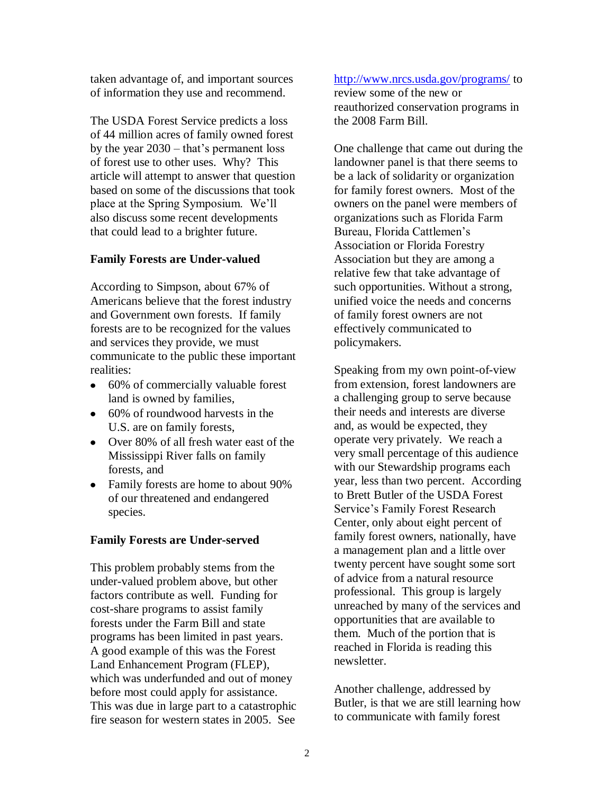taken advantage of, and important sources of information they use and recommend.

The USDA Forest Service predicts a loss of 44 million acres of family owned forest by the year 2030 – that's permanent loss of forest use to other uses. Why? This article will attempt to answer that question based on some of the discussions that took place at the Spring Symposium. We'll also discuss some recent developments that could lead to a brighter future.

#### **Family Forests are Under-valued**

According to Simpson, about 67% of Americans believe that the forest industry and Government own forests. If family forests are to be recognized for the values and services they provide, we must communicate to the public these important realities:

- 60% of commercially valuable forest land is owned by families,
- 60% of roundwood harvests in the U.S. are on family forests,
- Over 80% of all fresh water east of the Mississippi River falls on family forests, and
- Family forests are home to about 90% of our threatened and endangered species.

#### **Family Forests are Under-served**

This problem probably stems from the under-valued problem above, but other factors contribute as well. Funding for cost-share programs to assist family forests under the Farm Bill and state programs has been limited in past years. A good example of this was the Forest Land Enhancement Program (FLEP), which was underfunded and out of money before most could apply for assistance. This was due in large part to a catastrophic fire season for western states in 2005. See

#### <http://www.nrcs.usda.gov/programs/> to

review some of the new or reauthorized conservation programs in the 2008 Farm Bill.

One challenge that came out during the landowner panel is that there seems to be a lack of solidarity or organization for family forest owners. Most of the owners on the panel were members of organizations such as Florida Farm Bureau, Florida Cattlemen's Association or Florida Forestry Association but they are among a relative few that take advantage of such opportunities. Without a strong, unified voice the needs and concerns of family forest owners are not effectively communicated to policymakers.

Speaking from my own point-of-view from extension, forest landowners are a challenging group to serve because their needs and interests are diverse and, as would be expected, they operate very privately. We reach a very small percentage of this audience with our Stewardship programs each year, less than two percent. According to Brett Butler of the USDA Forest Service's Family Forest Research Center, only about eight percent of family forest owners, nationally, have a management plan and a little over twenty percent have sought some sort of advice from a natural resource professional. This group is largely unreached by many of the services and opportunities that are available to them. Much of the portion that is reached in Florida is reading this newsletter.

Another challenge, addressed by Butler, is that we are still learning how to communicate with family forest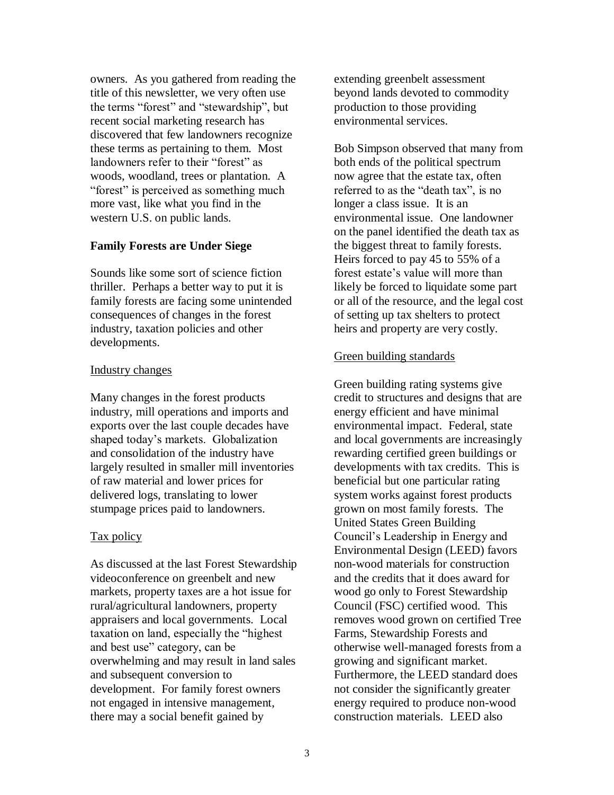owners. As you gathered from reading the title of this newsletter, we very often use the terms "forest" and "stewardship", but recent social marketing research has discovered that few landowners recognize these terms as pertaining to them. Most landowners refer to their "forest" as woods, woodland, trees or plantation. A "forest" is perceived as something much more vast, like what you find in the western U.S. on public lands.

#### **Family Forests are Under Siege**

Sounds like some sort of science fiction thriller. Perhaps a better way to put it is family forests are facing some unintended consequences of changes in the forest industry, taxation policies and other developments.

#### Industry changes

Many changes in the forest products industry, mill operations and imports and exports over the last couple decades have shaped today's markets. Globalization and consolidation of the industry have largely resulted in smaller mill inventories of raw material and lower prices for delivered logs, translating to lower stumpage prices paid to landowners.

#### Tax policy

As discussed at the last Forest Stewardship videoconference on greenbelt and new markets, property taxes are a hot issue for rural/agricultural landowners, property appraisers and local governments. Local taxation on land, especially the "highest and best use" category, can be overwhelming and may result in land sales and subsequent conversion to development. For family forest owners not engaged in intensive management, there may a social benefit gained by

extending greenbelt assessment beyond lands devoted to commodity production to those providing environmental services.

Bob Simpson observed that many from both ends of the political spectrum now agree that the estate tax, often referred to as the "death tax", is no longer a class issue. It is an environmental issue. One landowner on the panel identified the death tax as the biggest threat to family forests. Heirs forced to pay 45 to 55% of a forest estate's value will more than likely be forced to liquidate some part or all of the resource, and the legal cost of setting up tax shelters to protect heirs and property are very costly.

#### Green building standards

Green building rating systems give credit to structures and designs that are energy efficient and have minimal environmental impact. Federal, state and local governments are increasingly rewarding certified green buildings or developments with tax credits. This is beneficial but one particular rating system works against forest products grown on most family forests. The United States Green Building Council's Leadership in Energy and Environmental Design (LEED) favors non-wood materials for construction and the credits that it does award for wood go only to Forest Stewardship Council (FSC) certified wood. This removes wood grown on certified Tree Farms, Stewardship Forests and otherwise well-managed forests from a growing and significant market. Furthermore, the LEED standard does not consider the significantly greater energy required to produce non-wood construction materials. LEED also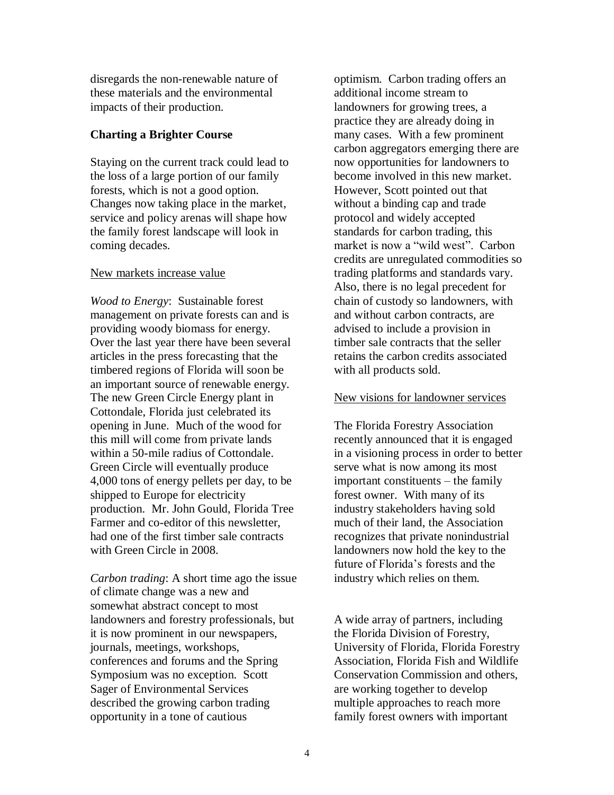disregards the non-renewable nature of these materials and the environmental impacts of their production.

#### **Charting a Brighter Course**

Staying on the current track could lead to the loss of a large portion of our family forests, which is not a good option. Changes now taking place in the market, service and policy arenas will shape how the family forest landscape will look in coming decades.

#### New markets increase value

*Wood to Energy*: Sustainable forest management on private forests can and is providing woody biomass for energy. Over the last year there have been several articles in the press forecasting that the timbered regions of Florida will soon be an important source of renewable energy. The new Green Circle Energy plant in Cottondale, Florida just celebrated its opening in June. Much of the wood for this mill will come from private lands within a 50-mile radius of Cottondale. Green Circle will eventually produce 4,000 tons of energy pellets per day, to be shipped to Europe for electricity production. Mr. John Gould, Florida Tree Farmer and co-editor of this newsletter, had one of the first timber sale contracts with Green Circle in 2008.

*Carbon trading*: A short time ago the issue of climate change was a new and somewhat abstract concept to most landowners and forestry professionals, but it is now prominent in our newspapers, journals, meetings, workshops, conferences and forums and the Spring Symposium was no exception. Scott Sager of Environmental Services described the growing carbon trading opportunity in a tone of cautious

optimism. Carbon trading offers an additional income stream to landowners for growing trees, a practice they are already doing in many cases. With a few prominent carbon aggregators emerging there are now opportunities for landowners to become involved in this new market. However, Scott pointed out that without a binding cap and trade protocol and widely accepted standards for carbon trading, this market is now a "wild west". Carbon credits are unregulated commodities so trading platforms and standards vary. Also, there is no legal precedent for chain of custody so landowners, with and without carbon contracts, are advised to include a provision in timber sale contracts that the seller retains the carbon credits associated with all products sold.

#### New visions for landowner services

The Florida Forestry Association recently announced that it is engaged in a visioning process in order to better serve what is now among its most important constituents – the family forest owner. With many of its industry stakeholders having sold much of their land, the Association recognizes that private nonindustrial landowners now hold the key to the future of Florida's forests and the industry which relies on them.

A wide array of partners, including the Florida Division of Forestry, University of Florida, Florida Forestry Association, Florida Fish and Wildlife Conservation Commission and others, are working together to develop multiple approaches to reach more family forest owners with important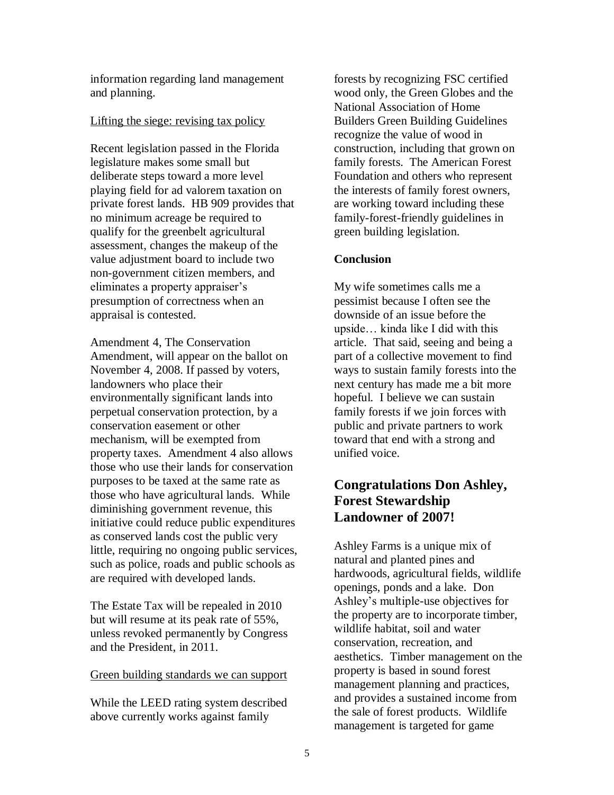information regarding land management and planning.

#### Lifting the siege: revising tax policy

Recent legislation passed in the Florida legislature makes some small but deliberate steps toward a more level playing field for ad valorem taxation on private forest lands. HB 909 provides that no minimum acreage be required to qualify for the greenbelt agricultural assessment, changes the makeup of the value adjustment board to include two non-government citizen members, and eliminates a property appraiser's presumption of correctness when an appraisal is contested.

Amendment 4, The Conservation Amendment, will appear on the ballot on November 4, 2008. If passed by voters, landowners who place their environmentally significant lands into perpetual conservation protection, by a conservation easement or other mechanism, will be exempted from property taxes. Amendment 4 also allows those who use their lands for conservation purposes to be taxed at the same rate as those who have agricultural lands. While diminishing government revenue, this initiative could reduce public expenditures as conserved lands cost the public very little, requiring no ongoing public services, such as police, roads and public schools as are required with developed lands.

The Estate Tax will be repealed in 2010 but will resume at its peak rate of 55%, unless revoked permanently by Congress and the President, in 2011.

#### Green building standards we can support

While the LEED rating system described above currently works against family

forests by recognizing FSC certified wood only, the Green Globes and the National Association of Home Builders Green Building Guidelines recognize the value of wood in construction, including that grown on family forests. The American Forest Foundation and others who represent the interests of family forest owners, are working toward including these family-forest-friendly guidelines in green building legislation.

#### **Conclusion**

My wife sometimes calls me a pessimist because I often see the downside of an issue before the upside… kinda like I did with this article. That said, seeing and being a part of a collective movement to find ways to sustain family forests into the next century has made me a bit more hopeful. I believe we can sustain family forests if we join forces with public and private partners to work toward that end with a strong and unified voice.

# **Congratulations Don Ashley, Forest Stewardship Landowner of 2007!**

Ashley Farms is a unique mix of natural and planted pines and hardwoods, agricultural fields, wildlife openings, ponds and a lake. Don Ashley's multiple-use objectives for the property are to incorporate timber, wildlife habitat, soil and water conservation, recreation, and aesthetics. Timber management on the property is based in sound forest management planning and practices, and provides a sustained income from the sale of forest products. Wildlife management is targeted for game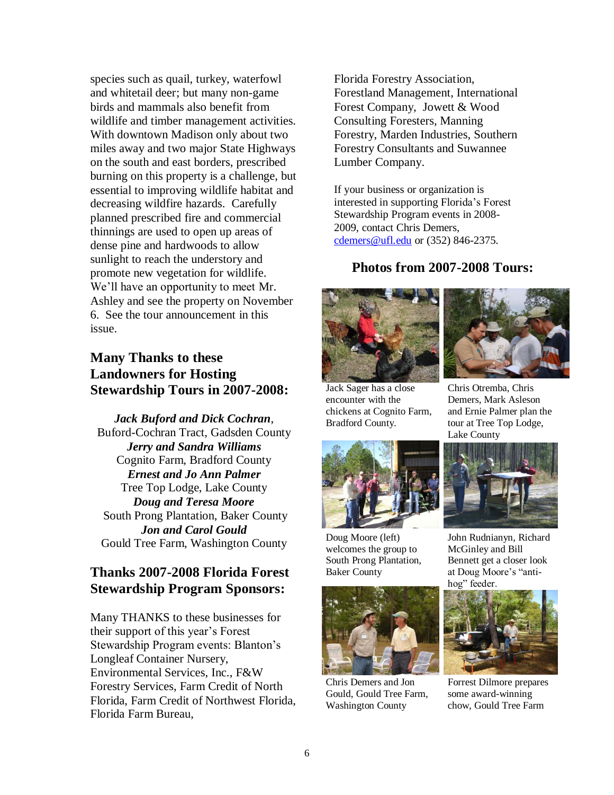species such as quail, turkey, waterfowl and whitetail deer; but many non-game birds and mammals also benefit from wildlife and timber management activities. With downtown Madison only about two miles away and two major State Highways on the south and east borders, prescribed burning on this property is a challenge, but essential to improving wildlife habitat and decreasing wildfire hazards. Carefully planned prescribed fire and commercial thinnings are used to open up areas of dense pine and hardwoods to allow sunlight to reach the understory and promote new vegetation for wildlife. We'll have an opportunity to meet Mr. Ashley and see the property on November 6. See the tour announcement in this issue.

# **Many Thanks to these Landowners for Hosting Stewardship Tours in 2007-2008:**

*Jack Buford and Dick Cochran*, Buford-Cochran Tract, Gadsden County *Jerry and Sandra Williams* Cognito Farm, Bradford County *Ernest and Jo Ann Palmer* Tree Top Lodge, Lake County *Doug and Teresa Moore* South Prong Plantation, Baker County *Jon and Carol Gould* Gould Tree Farm, Washington County

# **Thanks 2007-2008 Florida Forest Stewardship Program Sponsors:**

Many THANKS to these businesses for their support of this year's Forest Stewardship Program events: Blanton's Longleaf Container Nursery, Environmental Services, Inc., F&W Forestry Services, Farm Credit of North Florida, Farm Credit of Northwest Florida, Florida Farm Bureau,

Florida Forestry Association, Forestland Management, International Forest Company, Jowett & Wood Consulting Foresters, Manning Forestry, Marden Industries, Southern Forestry Consultants and Suwannee Lumber Company.

If your business or organization is interested in supporting Florida's Forest Stewardship Program events in 2008- 2009, contact Chris Demers, [cdemers@ufl.edu](mailto:cdemers@ufl.edu) or (352) 846-2375.

#### **Photos from 2007-2008 Tours:**



Jack Sager has a close encounter with the chickens at Cognito Farm, Bradford County.



Chris Otremba, Chris Demers, Mark Asleson and Ernie Palmer plan the tour at Tree Top Lodge, Lake County



Doug Moore (left) welcomes the group to South Prong Plantation, Baker County



Chris Demers and Jon Gould, Gould Tree Farm, Washington County



John Rudnianyn, Richard McGinley and Bill Bennett get a closer look at Doug Moore's "antihog" feeder.



Forrest Dilmore prepares some award-winning chow, Gould Tree Farm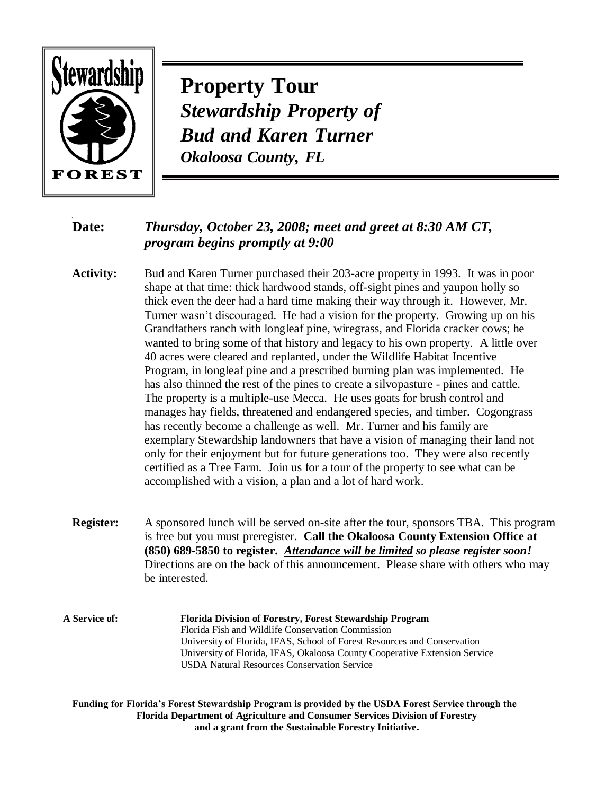

**Property Tour** *Stewardship Property of Bud and Karen Turner Okaloosa County, FL*

# **Date:** *Thursday, October 23, 2008; meet and greet at 8:30 AM CT, program begins promptly at 9:00*

**Activity:** Bud and Karen Turner purchased their 203-acre property in 1993. It was in poor shape at that time: thick hardwood stands, off-sight pines and yaupon holly so thick even the deer had a hard time making their way through it. However, Mr. Turner wasn't discouraged. He had a vision for the property. Growing up on his Grandfathers ranch with longleaf pine, wiregrass, and Florida cracker cows; he wanted to bring some of that history and legacy to his own property. A little over 40 acres were cleared and replanted, under the Wildlife Habitat Incentive Program, in longleaf pine and a prescribed burning plan was implemented. He has also thinned the rest of the pines to create a silvopasture - pines and cattle. The property is a multiple-use Mecca. He uses goats for brush control and manages hay fields, threatened and endangered species, and timber. Cogongrass has recently become a challenge as well. Mr. Turner and his family are exemplary Stewardship landowners that have a vision of managing their land not only for their enjoyment but for future generations too. They were also recently certified as a Tree Farm. Join us for a tour of the property to see what can be accomplished with a vision, a plan and a lot of hard work.

- **Register:** A sponsored lunch will be served on-site after the tour, sponsors TBA. This program is free but you must preregister. **Call the Okaloosa County Extension Office at (850) 689-5850 to register.** *Attendance will be limited so please register soon!*  Directions are on the back of this announcement. Please share with others who may be interested.
- **A Service of: Florida Division of Forestry, Forest Stewardship Program** Florida Fish and Wildlife Conservation Commission University of Florida, IFAS, School of Forest Resources and Conservation University of Florida, IFAS, Okaloosa County Cooperative Extension Service USDA Natural Resources Conservation Service

**Funding for Florida's Forest Stewardship Program is provided by the USDA Forest Service through the Florida Department of Agriculture and Consumer Services Division of Forestry and a grant from the Sustainable Forestry Initiative.**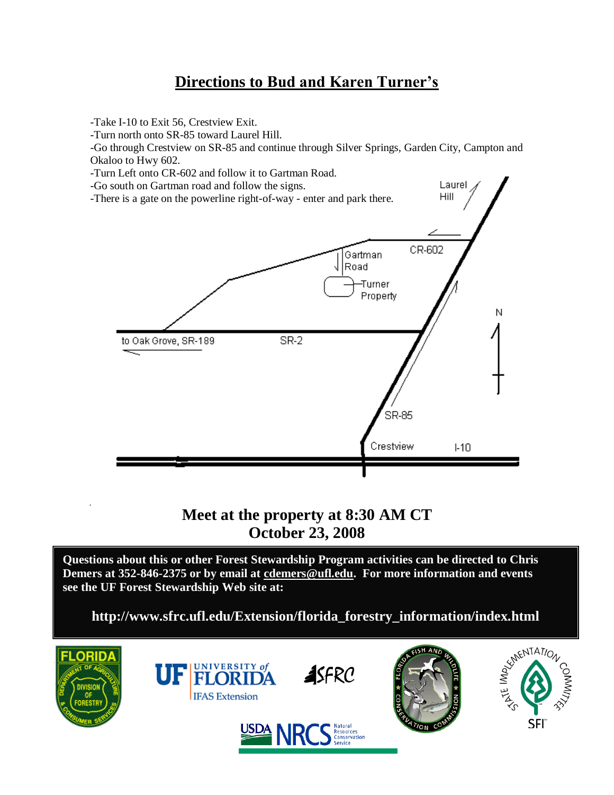# **Directions to Bud and Karen Turner's**

-Take I-10 to Exit 56, Crestview Exit.

-Turn north onto SR-85 toward Laurel Hill.

-Go through Crestview on SR-85 and continue through Silver Springs, Garden City, Campton and Okaloo to Hwy 602.



# **Meet at the property at 8:30 AM CT October 23, 2008**

**Questions about this or other Forest Stewardship Program activities can be directed to Chris Demers at 352-846-2375 or by email at cdemers@ufl.edu. For more information and events see the UF Forest Stewardship Web site at:** 

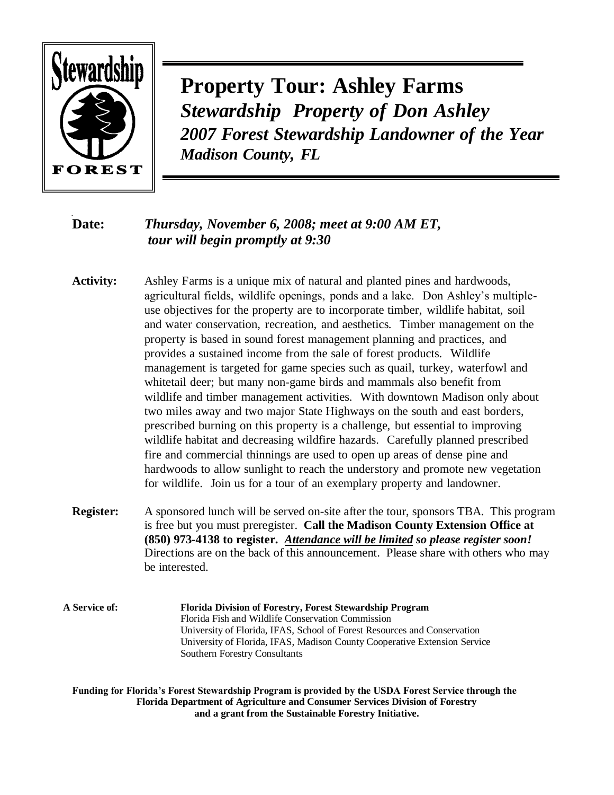

**Property Tour: Ashley Farms** *Stewardship Property of Don Ashley 2007 Forest Stewardship Landowner of the Year Madison County, FL*

# **Date:** *Thursday, November 6, 2008; meet at 9:00 AM ET, tour will begin promptly at 9:30*

- **Activity:** Ashley Farms is a unique mix of natural and planted pines and hardwoods, agricultural fields, wildlife openings, ponds and a lake. Don Ashley's multipleuse objectives for the property are to incorporate timber, wildlife habitat, soil and water conservation, recreation, and aesthetics. Timber management on the property is based in sound forest management planning and practices, and provides a sustained income from the sale of forest products. Wildlife management is targeted for game species such as quail, turkey, waterfowl and whitetail deer; but many non-game birds and mammals also benefit from wildlife and timber management activities. With downtown Madison only about two miles away and two major State Highways on the south and east borders, prescribed burning on this property is a challenge, but essential to improving wildlife habitat and decreasing wildfire hazards. Carefully planned prescribed fire and commercial thinnings are used to open up areas of dense pine and hardwoods to allow sunlight to reach the understory and promote new vegetation for wildlife. Join us for a tour of an exemplary property and landowner.
- **Register:** A sponsored lunch will be served on-site after the tour, sponsors TBA. This program is free but you must preregister. **Call the Madison County Extension Office at (850) 973-4138 to register.** *Attendance will be limited so please register soon!*  Directions are on the back of this announcement. Please share with others who may be interested.
- **A Service of: Florida Division of Forestry, Forest Stewardship Program** Florida Fish and Wildlife Conservation Commission University of Florida, IFAS, School of Forest Resources and Conservation University of Florida, IFAS, Madison County Cooperative Extension Service Southern Forestry Consultants

**Funding for Florida's Forest Stewardship Program is provided by the USDA Forest Service through the Florida Department of Agriculture and Consumer Services Division of Forestry and a grant from the Sustainable Forestry Initiative.**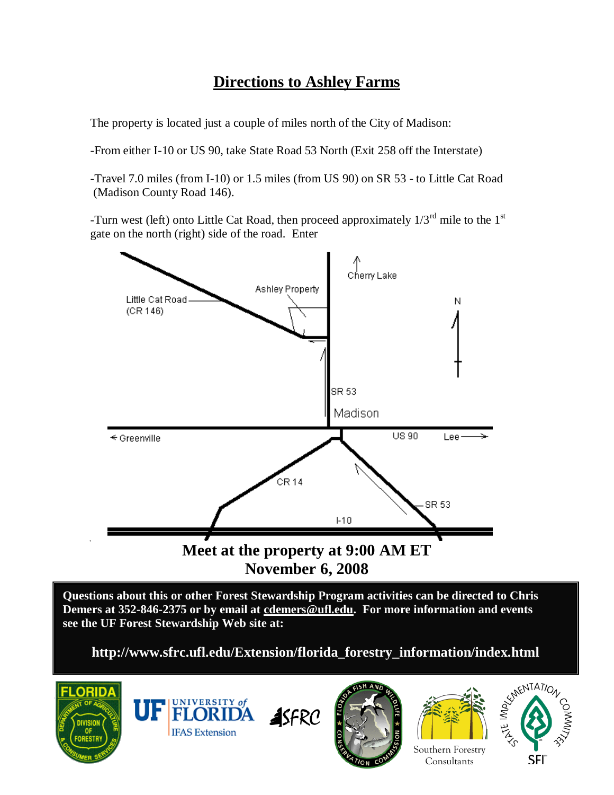# **Directions to Ashley Farms**

The property is located just a couple of miles north of the City of Madison:

-From either I-10 or US 90, take State Road 53 North (Exit 258 off the Interstate)

-Travel 7.0 miles (from I-10) or 1.5 miles (from US 90) on SR 53 - to Little Cat Road (Madison County Road 146).

-Turn west (left) onto Little Cat Road, then proceed approximately  $1/3^{rd}$  mile to the  $1^{st}$ gate on the north (right) side of the road. Enter



**Questions about this or other Forest Stewardship Program activities can be directed to Chris Demers at 352-846-2375 or by email at cdemers@ufl.edu. For more information and events see the UF Forest Stewardship Web site at:** 









Southern Forestry **Consultants** 

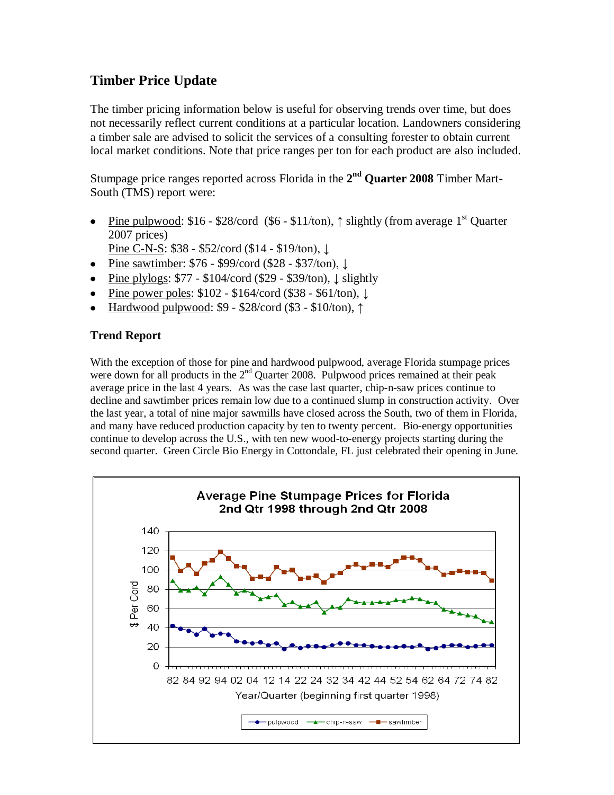# **Timber Price Update**

The timber pricing information below is useful for observing trends over time, but does not necessarily reflect current conditions at a particular location. Landowners considering a timber sale are advised to solicit the services of a consulting forester to obtain current local market conditions. Note that price ranges per ton for each product are also included.

Stumpage price ranges reported across Florida in the 2<sup>nd</sup> Quarter 2008 Timber Mart-South (TMS) report were:

- Pine pulpwood: \$16 \$28/cord (\$6 \$11/ton),  $\uparrow$  slightly (from average 1<sup>st</sup> Quarter  $\bullet$ 2007 prices)
	- Pine C-N-S: \$38 \$52/cord (\$14 \$19/ton), ↓
- Pine sawtimber: \$76 \$99/cord (\$28 \$37/ton), ↓
- Pine plylogs: \$77 \$104/cord (\$29 \$39/ton), ↓ slightly
- Pine power poles: \$102 \$164/cord (\$38 \$61/ton), ↓
- Hardwood pulpwood: \$9 \$28/cord (\$3 \$10/ton), ↑

#### **Trend Report**

With the exception of those for pine and hardwood pulpwood, average Florida stumpage prices were down for all products in the  $2<sup>nd</sup>$  Quarter 2008. Pulpwood prices remained at their peak average price in the last 4 years. As was the case last quarter, chip-n-saw prices continue to decline and sawtimber prices remain low due to a continued slump in construction activity. Over the last year, a total of nine major sawmills have closed across the South, two of them in Florida, and many have reduced production capacity by ten to twenty percent. Bio-energy opportunities continue to develop across the U.S., with ten new wood-to-energy projects starting during the second quarter. Green Circle Bio Energy in Cottondale, FL just celebrated their opening in June.